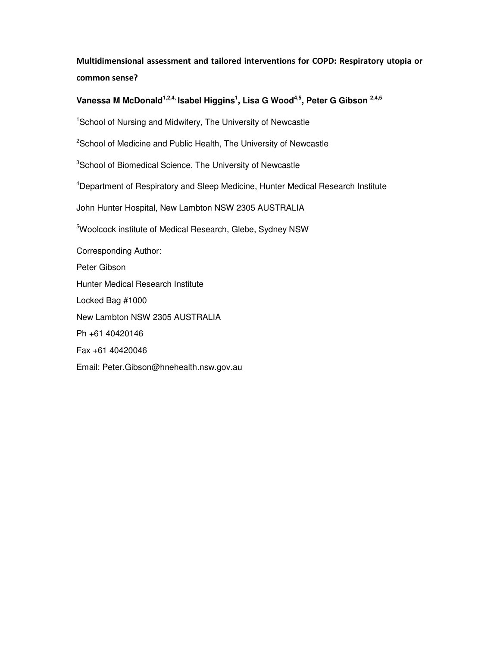# Multidimensional assessment and tailored interventions for COPD: Respiratory utopia or common sense?

# **Vanessa M McDonald1,2,4, Isabel Higgins<sup>1</sup> , Lisa G Wood4,5, Peter G Gibson 2,4,5**

<sup>1</sup>School of Nursing and Midwifery, The University of Newcastle

<sup>2</sup>School of Medicine and Public Health, The University of Newcastle

<sup>3</sup>School of Biomedical Science, The University of Newcastle

<sup>4</sup>Department of Respiratory and Sleep Medicine, Hunter Medical Research Institute

John Hunter Hospital, New Lambton NSW 2305 AUSTRALIA

<sup>5</sup>Woolcock institute of Medical Research, Glebe, Sydney NSW

Corresponding Author: Peter Gibson Hunter Medical Research Institute Locked Bag #1000 New Lambton NSW 2305 AUSTRALIA Ph +61 40420146 Fax +61 40420046 Email: Peter.Gibson@hnehealth.nsw.gov.au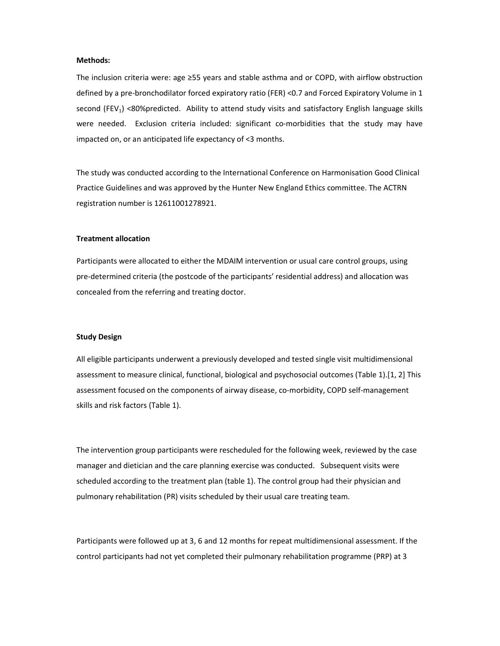#### Methods:

The inclusion criteria were: age ≥55 years and stable asthma and or COPD, with airflow obstruction defined by a pre-bronchodilator forced expiratory ratio (FER) <0.7 and Forced Expiratory Volume in 1 second (FEV<sub>1</sub>) <80%predicted. Ability to attend study visits and satisfactory English language skills were needed. Exclusion criteria included: significant co-morbidities that the study may have impacted on, or an anticipated life expectancy of <3 months.

The study was conducted according to the International Conference on Harmonisation Good Clinical Practice Guidelines and was approved by the Hunter New England Ethics committee. The ACTRN registration number is 12611001278921.

#### Treatment allocation

Participants were allocated to either the MDAIM intervention or usual care control groups, using pre-determined criteria (the postcode of the participants' residential address) and allocation was concealed from the referring and treating doctor.

### Study Design

All eligible participants underwent a previously developed and tested single visit multidimensional assessment to measure clinical, functional, biological and psychosocial outcomes (Table 1).[1, 2] This assessment focused on the components of airway disease, co-morbidity, COPD self-management skills and risk factors (Table 1).

The intervention group participants were rescheduled for the following week, reviewed by the case manager and dietician and the care planning exercise was conducted. Subsequent visits were scheduled according to the treatment plan (table 1). The control group had their physician and pulmonary rehabilitation (PR) visits scheduled by their usual care treating team.

Participants were followed up at 3, 6 and 12 months for repeat multidimensional assessment. If the control participants had not yet completed their pulmonary rehabilitation programme (PRP) at 3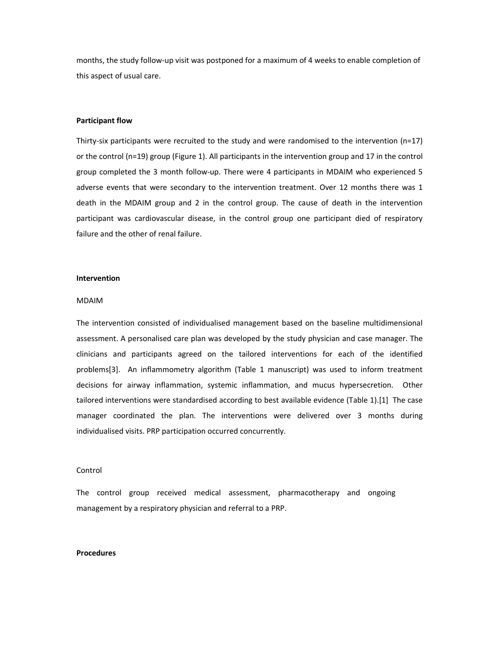months, the study follow-up visit was postponed for a maximum of 4 weeks to enable completion of this aspect of usual care.

## Participant flow

Thirty-six participants were recruited to the study and were randomised to the intervention (n=17) or the control (n=19) group (Figure 1). All participants in the intervention group and 17 in the control group completed the 3 month follow-up. There were 4 participants in MDAIM who experienced 5 adverse events that were secondary to the intervention treatment. Over 12 months there was 1 death in the MDAIM group and 2 in the control group. The cause of death in the intervention participant was cardiovascular disease, in the control group one participant died of respiratory failure and the other of renal failure.

### Intervention

#### MDAIM

The intervention consisted of individualised management based on the baseline multidimensional assessment. A personalised care plan was developed by the study physician and case manager. The clinicians and participants agreed on the tailored interventions for each of the identified problems[3]. An inflammometry algorithm (Table 1 manuscript) was used to inform treatment decisions for airway inflammation, systemic inflammation, and mucus hypersecretion. Other tailored interventions were standardised according to best available evidence (Table 1).[1] The case manager coordinated the plan. The interventions were delivered over 3 months during individualised visits. PRP participation occurred concurrently.

### Control

The control group received medical assessment, pharmacotherapy and ongoing management by a respiratory physician and referral to a PRP.

#### Procedures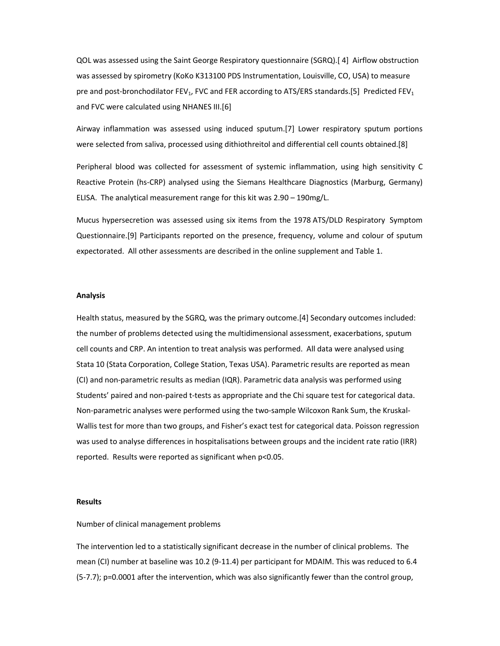QOL was assessed using the Saint George Respiratory questionnaire (SGRQ).[ 4] Airflow obstruction was assessed by spirometry (KoKo K313100 PDS Instrumentation, Louisville, CO, USA) to measure pre and post-bronchodilator  $FEV_1$ , FVC and FER according to ATS/ERS standards.[5] Predicted FEV<sub>1</sub> and FVC were calculated using NHANES III.[6]

Airway inflammation was assessed using induced sputum.[7] Lower respiratory sputum portions were selected from saliva, processed using dithiothreitol and differential cell counts obtained.[8]

Peripheral blood was collected for assessment of systemic inflammation, using high sensitivity C Reactive Protein (hs-CRP) analysed using the Siemans Healthcare Diagnostics (Marburg, Germany) ELISA. The analytical measurement range for this kit was 2.90 – 190mg/L.

Mucus hypersecretion was assessed using six items from the 1978 ATS/DLD Respiratory Symptom Questionnaire.[9] Participants reported on the presence, frequency, volume and colour of sputum expectorated. All other assessments are described in the online supplement and Table 1.

### Analysis

Health status, measured by the SGRQ, was the primary outcome.[4] Secondary outcomes included: the number of problems detected using the multidimensional assessment, exacerbations, sputum cell counts and CRP. An intention to treat analysis was performed. All data were analysed using Stata 10 (Stata Corporation, College Station, Texas USA). Parametric results are reported as mean (CI) and non-parametric results as median (IQR). Parametric data analysis was performed using Students' paired and non-paired t-tests as appropriate and the Chi square test for categorical data. Non-parametric analyses were performed using the two-sample Wilcoxon Rank Sum, the Kruskal-Wallis test for more than two groups, and Fisher's exact test for categorical data. Poisson regression was used to analyse differences in hospitalisations between groups and the incident rate ratio (IRR) reported. Results were reported as significant when p<0.05.

#### **Results**

## Number of clinical management problems

The intervention led to a statistically significant decrease in the number of clinical problems. The mean (CI) number at baseline was 10.2 (9-11.4) per participant for MDAIM. This was reduced to 6.4 (5-7.7); p=0.0001 after the intervention, which was also significantly fewer than the control group,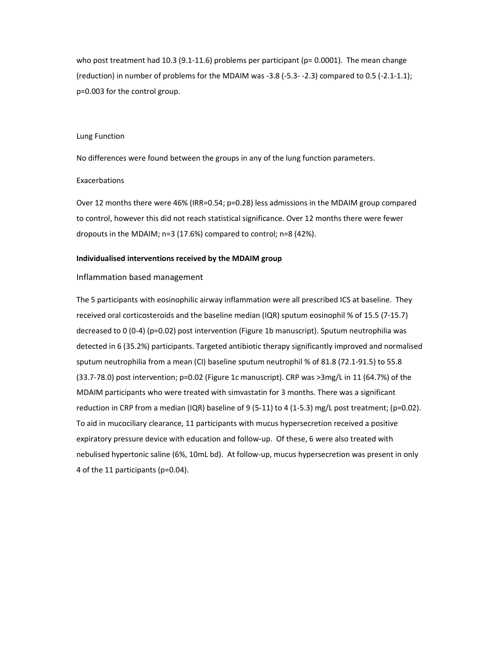who post treatment had 10.3 (9.1-11.6) problems per participant ( $p= 0.0001$ ). The mean change (reduction) in number of problems for the MDAIM was -3.8 (-5.3- -2.3) compared to 0.5 (-2.1-1.1); p=0.003 for the control group.

#### Lung Function

No differences were found between the groups in any of the lung function parameters.

#### Exacerbations

Over 12 months there were 46% (IRR=0.54; p=0.28) less admissions in the MDAIM group compared to control, however this did not reach statistical significance. Over 12 months there were fewer dropouts in the MDAIM; n=3 (17.6%) compared to control; n=8 (42%).

#### Individualised interventions received by the MDAIM group

## Inflammation based management

The 5 participants with eosinophilic airway inflammation were all prescribed ICS at baseline. They received oral corticosteroids and the baseline median (IQR) sputum eosinophil % of 15.5 (7-15.7) decreased to 0 (0-4) (p=0.02) post intervention (Figure 1b manuscript). Sputum neutrophilia was detected in 6 (35.2%) participants. Targeted antibiotic therapy significantly improved and normalised sputum neutrophilia from a mean (CI) baseline sputum neutrophil % of 81.8 (72.1-91.5) to 55.8 (33.7-78.0) post intervention; p=0.02 (Figure 1c manuscript). CRP was >3mg/L in 11 (64.7%) of the MDAIM participants who were treated with simvastatin for 3 months. There was a significant reduction in CRP from a median (IQR) baseline of 9 (5-11) to 4 (1-5.3) mg/L post treatment; (p=0.02). To aid in mucociliary clearance, 11 participants with mucus hypersecretion received a positive expiratory pressure device with education and follow-up. Of these, 6 were also treated with nebulised hypertonic saline (6%, 10mL bd). At follow-up, mucus hypersecretion was present in only 4 of the 11 participants (p=0.04).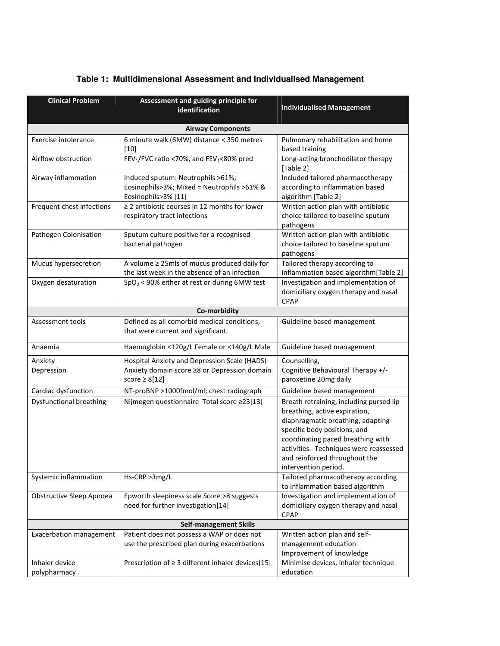| <b>Clinical Problem</b>         | Assessment and guiding principle for<br>identification                                                             | <b>Individualised Management</b>                                                                                                                                                                                                                                                      |  |
|---------------------------------|--------------------------------------------------------------------------------------------------------------------|---------------------------------------------------------------------------------------------------------------------------------------------------------------------------------------------------------------------------------------------------------------------------------------|--|
| <b>Airway Components</b>        |                                                                                                                    |                                                                                                                                                                                                                                                                                       |  |
| Exercise intolerance            | 6 minute walk (6MW) distance < 350 metres<br>$[10]$                                                                | Pulmonary rehabilitation and home<br>based training                                                                                                                                                                                                                                   |  |
| Airflow obstruction             | FEV <sub>1</sub> /FVC ratio <70%, and FEV <sub>1</sub> <80% pred                                                   | Long-acting bronchodilator therapy<br>[Table 2]                                                                                                                                                                                                                                       |  |
| Airway inflammation             | Induced sputum: Neutrophils >61%;<br>Eosinophils>3%; Mixed = Neutrophils >61% &<br>Eosinophils>3% [11]             | Included tailored pharmacotherapy<br>according to inflammation based<br>algorithm [Table 2]                                                                                                                                                                                           |  |
| Frequent chest infections       | $\geq$ 2 antibiotic courses in 12 months for lower<br>respiratory tract infections                                 | Written action plan with antibiotic<br>choice tailored to baseline sputum<br>pathogens                                                                                                                                                                                                |  |
| Pathogen Colonisation           | Sputum culture positive for a recognised<br>bacterial pathogen                                                     | Written action plan with antibiotic<br>choice tailored to baseline sputum<br>pathogens                                                                                                                                                                                                |  |
| Mucus hypersecretion            | A volume $\geq$ 25mls of mucus produced daily for<br>the last week in the absence of an infection                  | Tailored therapy according to<br>inflammation based algorithm[Table 2]                                                                                                                                                                                                                |  |
| Oxygen desaturation             | $SpO2$ < 90% either at rest or during 6MW test                                                                     | Investigation and implementation of<br>domiciliary oxygen therapy and nasal<br><b>CPAP</b>                                                                                                                                                                                            |  |
|                                 | Co-morbidity                                                                                                       |                                                                                                                                                                                                                                                                                       |  |
| Assessment tools                | Defined as all comorbid medical conditions,<br>that were current and significant.                                  | Guideline based management                                                                                                                                                                                                                                                            |  |
| Anaemia                         | Haemoglobin <120g/L Female or <140g/L Male                                                                         | Guideline based management                                                                                                                                                                                                                                                            |  |
| Anxiety<br>Depression           | Hospital Anxiety and Depression Scale (HADS)<br>Anxiety domain score ≥8 or Depression domain<br>score $\geq 8[12]$ | Counselling,<br>Cognitive Behavioural Therapy +/-<br>paroxetine 20mg daily                                                                                                                                                                                                            |  |
| Cardiac dysfunction             | NT-proBNP >1000fmol/ml; chest radiograph                                                                           | Guideline based management                                                                                                                                                                                                                                                            |  |
| <b>Dysfunctional breathing</b>  | Nijmegen questionnaire Total score ≥23[13]                                                                         | Breath retraining, including pursed lip<br>breathing, active expiration,<br>diaphragmatic breathing, adapting<br>specific body positions, and<br>coordinating paced breathing with<br>activities. Techniques were reassessed<br>and reinforced throughout the<br>intervention period. |  |
| Systemic inflammation           | Hs-CRP >3mg/L                                                                                                      | Tailored pharmacotherapy according<br>to inflammation based algorithm                                                                                                                                                                                                                 |  |
| <b>Obstructive Sleep Apnoea</b> | Epworth sleepiness scale Score >8 suggests<br>need for further investigation[14]                                   | Investigation and implementation of<br>domiciliary oxygen therapy and nasal<br>CPAP                                                                                                                                                                                                   |  |
| <b>Self-management Skills</b>   |                                                                                                                    |                                                                                                                                                                                                                                                                                       |  |
| <b>Exacerbation management</b>  | Patient does not possess a WAP or does not<br>use the prescribed plan during exacerbations                         | Written action plan and self-<br>management education<br>Improvement of knowledge                                                                                                                                                                                                     |  |
| Inhaler device<br>polypharmacy  | Prescription of $\geq 3$ different inhaler devices[15]                                                             | Minimise devices, inhaler technique<br>education                                                                                                                                                                                                                                      |  |

# **Table 1: Multidimensional Assessment and Individualised Management**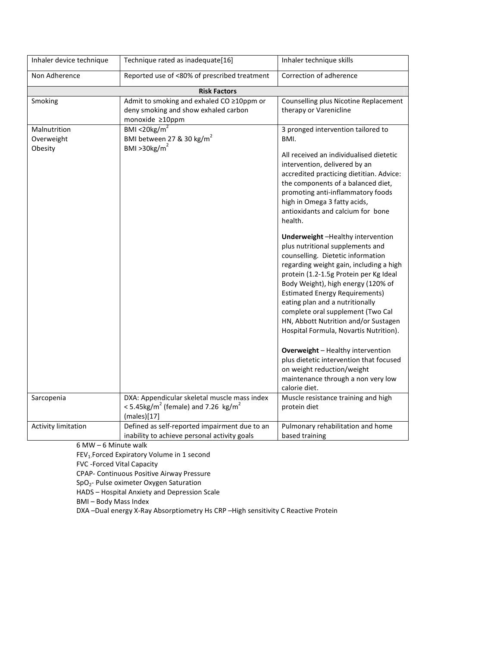| Inhaler device technique              | Technique rated as inadequate[16]                                                                                         | Inhaler technique skills                                                                                                                                                                                                                                                                                                                                                                            |  |
|---------------------------------------|---------------------------------------------------------------------------------------------------------------------------|-----------------------------------------------------------------------------------------------------------------------------------------------------------------------------------------------------------------------------------------------------------------------------------------------------------------------------------------------------------------------------------------------------|--|
| Non Adherence                         | Reported use of <80% of prescribed treatment                                                                              | Correction of adherence                                                                                                                                                                                                                                                                                                                                                                             |  |
| <b>Risk Factors</b>                   |                                                                                                                           |                                                                                                                                                                                                                                                                                                                                                                                                     |  |
| Smoking                               | Admit to smoking and exhaled CO ≥10ppm or<br>deny smoking and show exhaled carbon<br>monoxide ≥10ppm                      | Counselling plus Nicotine Replacement<br>therapy or Varenicline                                                                                                                                                                                                                                                                                                                                     |  |
| Malnutrition<br>Overweight<br>Obesity | BMI <20 $kg/m2$<br>BMI between 27 & 30 kg/m <sup>2</sup><br>BMI > 30 kg/ $m2$                                             | 3 pronged intervention tailored to<br>BMI.<br>All received an individualised dietetic<br>intervention, delivered by an<br>accredited practicing dietitian. Advice:<br>the components of a balanced diet,<br>promoting anti-inflammatory foods                                                                                                                                                       |  |
|                                       |                                                                                                                           | high in Omega 3 fatty acids,<br>antioxidants and calcium for bone<br>health.<br>Underweight-Healthy intervention                                                                                                                                                                                                                                                                                    |  |
|                                       |                                                                                                                           | plus nutritional supplements and<br>counselling. Dietetic information<br>regarding weight gain, including a high<br>protein (1.2-1.5g Protein per Kg Ideal<br>Body Weight), high energy (120% of<br><b>Estimated Energy Requirements)</b><br>eating plan and a nutritionally<br>complete oral supplement (Two Cal<br>HN, Abbott Nutrition and/or Sustagen<br>Hospital Formula, Novartis Nutrition). |  |
|                                       |                                                                                                                           | <b>Overweight</b> - Healthy intervention<br>plus dietetic intervention that focused<br>on weight reduction/weight<br>maintenance through a non very low<br>calorie diet.                                                                                                                                                                                                                            |  |
| Sarcopenia                            | DXA: Appendicular skeletal muscle mass index<br><5.45kg/m <sup>2</sup> (female) and 7.26 kg/m <sup>2</sup><br>(males)[17] | Muscle resistance training and high<br>protein diet                                                                                                                                                                                                                                                                                                                                                 |  |
| <b>Activity limitation</b>            | Defined as self-reported impairment due to an<br>inability to achieve personal activity goals                             | Pulmonary rehabilitation and home<br>based training                                                                                                                                                                                                                                                                                                                                                 |  |

6 MW – 6 Minute walk

FEV<sub>1</sub>. Forced Expiratory Volume in 1 second

FVC -Forced Vital Capacity

CPAP- Continuous Positive Airway Pressure

SpO2- Pulse oximeter Oxygen Saturation

HADS – Hospital Anxiety and Depression Scale

BMI – Body Mass Index

DXA –Dual energy X-Ray Absorptiometry Hs CRP –High sensitivity C Reactive Protein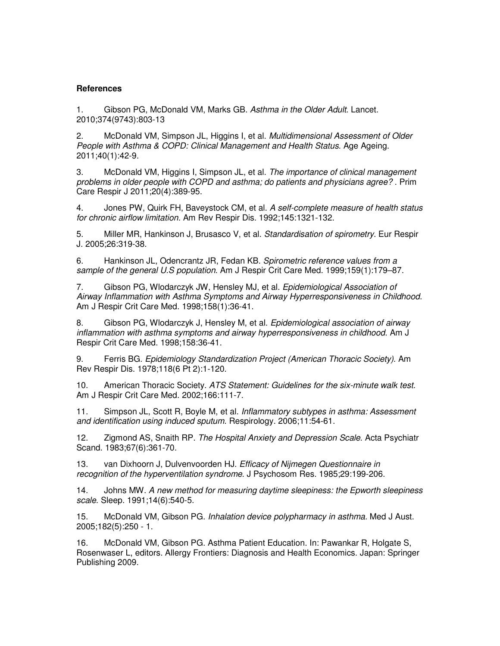# **References**

1. Gibson PG, McDonald VM, Marks GB. Asthma in the Older Adult. Lancet. 2010;374(9743):803-13

2. McDonald VM, Simpson JL, Higgins I, et al. *Multidimensional Assessment of Older* People with Asthma & COPD: Clinical Management and Health Status. Age Ageing. 2011;40(1):42-9.

3. McDonald VM, Higgins I, Simpson JL, et al. The importance of clinical management problems in older people with COPD and asthma; do patients and physicians agree? . Prim Care Respir J 2011;20(4):389-95.

4. Jones PW, Quirk FH, Baveystock CM, et al. A self-complete measure of health status for chronic airflow limitation. Am Rev Respir Dis. 1992;145:1321-132.

5. Miller MR, Hankinson J, Brusasco V, et al. Standardisation of spirometry. Eur Respir J. 2005;26:319-38.

6. Hankinson JL, Odencrantz JR, Fedan KB. Spirometric reference values from a sample of the general U.S population. Am J Respir Crit Care Med. 1999;159(1):179–87.

7. Gibson PG, Wlodarczyk JW, Hensley MJ, et al. Epidemiological Association of Airway Inflammation with Asthma Symptoms and Airway Hyperresponsiveness in Childhood. Am J Respir Crit Care Med. 1998;158(1):36-41.

8. Gibson PG, Wlodarczyk J, Hensley M, et al. Epidemiological association of airway inflammation with asthma symptoms and airway hyperresponsiveness in childhood. Am J Respir Crit Care Med. 1998;158:36-41.

9. Ferris BG. Epidemiology Standardization Project (American Thoracic Society). Am Rev Respir Dis. 1978;118(6 Pt 2):1-120.

10. American Thoracic Society. ATS Statement: Guidelines for the six-minute walk test. Am J Respir Crit Care Med. 2002;166:111-7.

11. Simpson JL, Scott R, Boyle M, et al. Inflammatory subtypes in asthma: Assessment and identification using induced sputum. Respirology. 2006;11:54-61.

12. Zigmond AS, Snaith RP. The Hospital Anxiety and Depression Scale. Acta Psychiatr Scand. 1983;67(6):361-70.

13. van Dixhoorn J, Dulvenvoorden HJ. Efficacy of Nijmegen Questionnaire in recognition of the hyperventilation syndrome. J Psychosom Res. 1985;29:199-206.

14. Johns MW. A new method for measuring daytime sleepiness: the Epworth sleepiness scale. Sleep. 1991;14(6):540-5.

15. McDonald VM, Gibson PG. Inhalation device polypharmacy in asthma. Med J Aust. 2005;182(5):250 - 1.

16. McDonald VM, Gibson PG. Asthma Patient Education. In: Pawankar R, Holgate S, Rosenwaser L, editors. Allergy Frontiers: Diagnosis and Health Economics. Japan: Springer Publishing 2009.